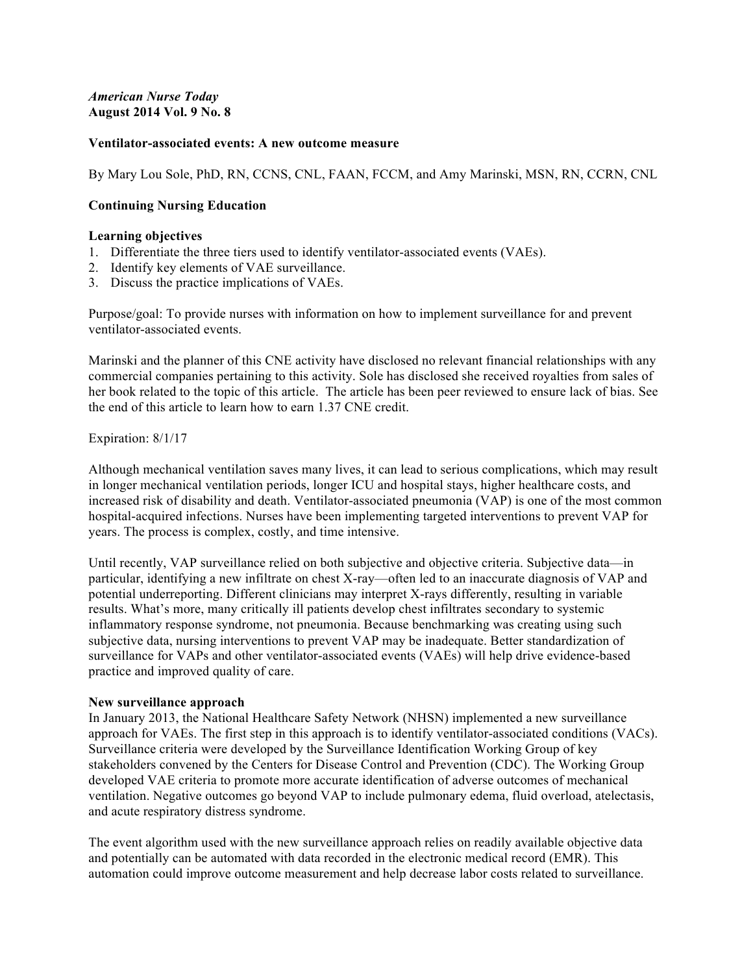### *American Nurse Today* **August 2014 Vol. 9 No. 8**

### **Ventilator-associated events: A new outcome measure**

By Mary Lou Sole, PhD, RN, CCNS, CNL, FAAN, FCCM, and Amy Marinski, MSN, RN, CCRN, CNL

### **Continuing Nursing Education**

### **Learning objectives**

- 1. Differentiate the three tiers used to identify ventilator-associated events (VAEs).
- 2. Identify key elements of VAE surveillance.
- 3. Discuss the practice implications of VAEs.

Purpose/goal: To provide nurses with information on how to implement surveillance for and prevent ventilator-associated events.

Marinski and the planner of this CNE activity have disclosed no relevant financial relationships with any commercial companies pertaining to this activity. Sole has disclosed she received royalties from sales of her book related to the topic of this article. The article has been peer reviewed to ensure lack of bias. See the end of this article to learn how to earn 1.37 CNE credit.

Expiration: 8/1/17

Although mechanical ventilation saves many lives, it can lead to serious complications, which may result in longer mechanical ventilation periods, longer ICU and hospital stays, higher healthcare costs, and increased risk of disability and death. Ventilator-associated pneumonia (VAP) is one of the most common hospital-acquired infections. Nurses have been implementing targeted interventions to prevent VAP for years. The process is complex, costly, and time intensive.

Until recently, VAP surveillance relied on both subjective and objective criteria. Subjective data—in particular, identifying a new infiltrate on chest X-ray—often led to an inaccurate diagnosis of VAP and potential underreporting. Different clinicians may interpret X-rays differently, resulting in variable results. What's more, many critically ill patients develop chest infiltrates secondary to systemic inflammatory response syndrome, not pneumonia. Because benchmarking was creating using such subjective data, nursing interventions to prevent VAP may be inadequate. Better standardization of surveillance for VAPs and other ventilator-associated events (VAEs) will help drive evidence-based practice and improved quality of care.

### **New surveillance approach**

In January 2013, the National Healthcare Safety Network (NHSN) implemented a new surveillance approach for VAEs. The first step in this approach is to identify ventilator-associated conditions (VACs). Surveillance criteria were developed by the Surveillance Identification Working Group of key stakeholders convened by the Centers for Disease Control and Prevention (CDC). The Working Group developed VAE criteria to promote more accurate identification of adverse outcomes of mechanical ventilation. Negative outcomes go beyond VAP to include pulmonary edema, fluid overload, atelectasis, and acute respiratory distress syndrome.

The event algorithm used with the new surveillance approach relies on readily available objective data and potentially can be automated with data recorded in the electronic medical record (EMR). This automation could improve outcome measurement and help decrease labor costs related to surveillance.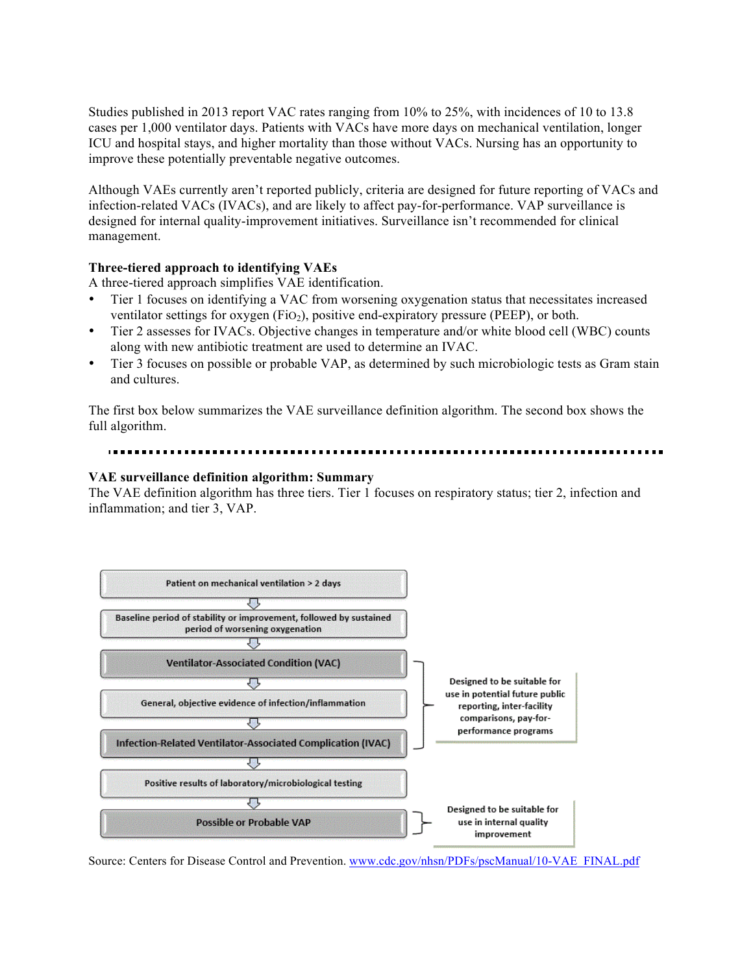Studies published in 2013 report VAC rates ranging from 10% to 25%, with incidences of 10 to 13.8 cases per 1,000 ventilator days. Patients with VACs have more days on mechanical ventilation, longer ICU and hospital stays, and higher mortality than those without VACs. Nursing has an opportunity to improve these potentially preventable negative outcomes.

Although VAEs currently aren't reported publicly, criteria are designed for future reporting of VACs and infection-related VACs (IVACs), and are likely to affect pay-for-performance. VAP surveillance is designed for internal quality-improvement initiatives. Surveillance isn't recommended for clinical management.

### **Three-tiered approach to identifying VAEs**

A three-tiered approach simplifies VAE identification.

- Tier 1 focuses on identifying a VAC from worsening oxygenation status that necessitates increased ventilator settings for oxygen (FiO2), positive end-expiratory pressure (PEEP), or both.
- Tier 2 assesses for IVACs. Objective changes in temperature and/or white blood cell (WBC) counts along with new antibiotic treatment are used to determine an IVAC.
- Tier 3 focuses on possible or probable VAP, as determined by such microbiologic tests as Gram stain and cultures.

The first box below summarizes the VAE surveillance definition algorithm. The second box shows the full algorithm.

### **VAE surveillance definition algorithm: Summary**

The VAE definition algorithm has three tiers. Tier 1 focuses on respiratory status; tier 2, infection and inflammation; and tier 3, VAP.



Source: Centers for Disease Control and Prevention. www.cdc.gov/nhsn/PDFs/pscManual/10-VAE\_FINAL.pdf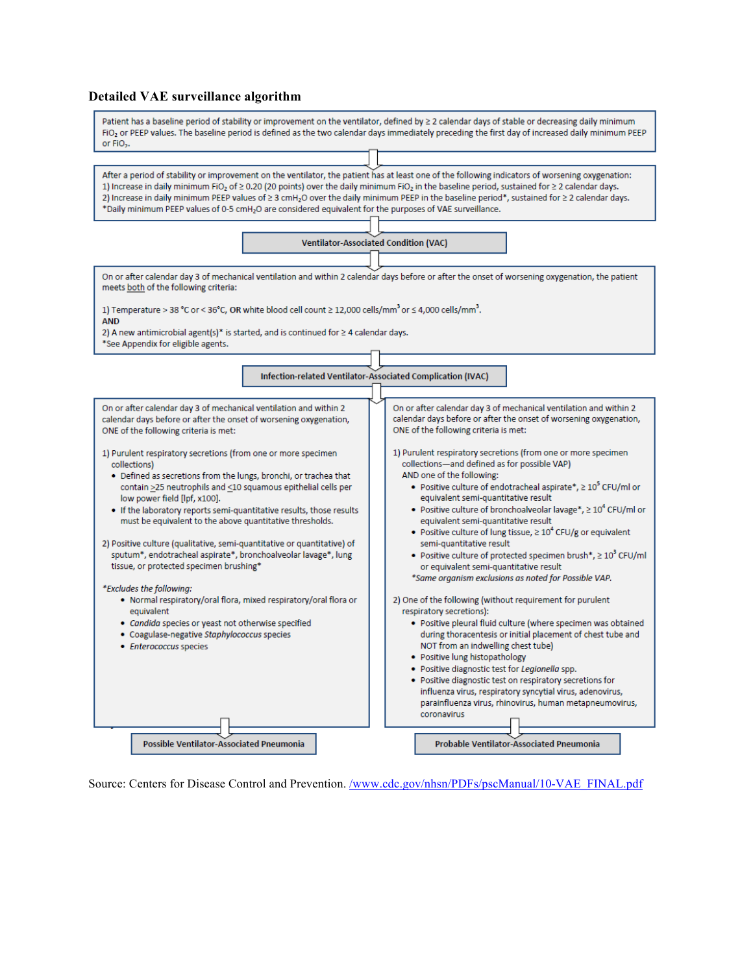## **Detailed VAE surveillance algorithm**

| Patient has a baseline period of stability or improvement on the ventilator, defined by ≥ 2 calendar days of stable or decreasing daily minimum<br>or FiO <sub>2</sub> .                                                                                                                                                                                                                                                                                                                                                                                                                                                                                                                                                                                                                                                    | FiO <sub>2</sub> or PEEP values. The baseline period is defined as the two calendar days immediately preceding the first day of increased daily minimum PEEP                                                                                                                                                                                                                                                                                                                                                                                                                                                                                                                                                                                                                                                                                                                                                                                                                                                                                                                                                                                                                                             |
|-----------------------------------------------------------------------------------------------------------------------------------------------------------------------------------------------------------------------------------------------------------------------------------------------------------------------------------------------------------------------------------------------------------------------------------------------------------------------------------------------------------------------------------------------------------------------------------------------------------------------------------------------------------------------------------------------------------------------------------------------------------------------------------------------------------------------------|----------------------------------------------------------------------------------------------------------------------------------------------------------------------------------------------------------------------------------------------------------------------------------------------------------------------------------------------------------------------------------------------------------------------------------------------------------------------------------------------------------------------------------------------------------------------------------------------------------------------------------------------------------------------------------------------------------------------------------------------------------------------------------------------------------------------------------------------------------------------------------------------------------------------------------------------------------------------------------------------------------------------------------------------------------------------------------------------------------------------------------------------------------------------------------------------------------|
|                                                                                                                                                                                                                                                                                                                                                                                                                                                                                                                                                                                                                                                                                                                                                                                                                             |                                                                                                                                                                                                                                                                                                                                                                                                                                                                                                                                                                                                                                                                                                                                                                                                                                                                                                                                                                                                                                                                                                                                                                                                          |
| After a period of stability or improvement on the ventilator, the patient has at least one of the following indicators of worsening oxygenation:<br>1) Increase in daily minimum FiO <sub>2</sub> of ≥ 0.20 (20 points) over the daily minimum FiO <sub>2</sub> in the baseline period, sustained for ≥ 2 calendar days.<br>2) Increase in daily minimum PEEP values of ≥ 3 cmH <sub>2</sub> O over the daily minimum PEEP in the baseline period*, sustained for ≥ 2 calendar days.<br>*Daily minimum PEEP values of 0-5 cmH <sub>2</sub> O are considered equivalent for the purposes of VAE surveillance.                                                                                                                                                                                                                |                                                                                                                                                                                                                                                                                                                                                                                                                                                                                                                                                                                                                                                                                                                                                                                                                                                                                                                                                                                                                                                                                                                                                                                                          |
|                                                                                                                                                                                                                                                                                                                                                                                                                                                                                                                                                                                                                                                                                                                                                                                                                             | <b>Ventilator-Associated Condition (VAC)</b>                                                                                                                                                                                                                                                                                                                                                                                                                                                                                                                                                                                                                                                                                                                                                                                                                                                                                                                                                                                                                                                                                                                                                             |
| meets both of the following criteria:                                                                                                                                                                                                                                                                                                                                                                                                                                                                                                                                                                                                                                                                                                                                                                                       | On or after calendar day 3 of mechanical ventilation and within 2 calendar days before or after the onset of worsening oxygenation, the patient                                                                                                                                                                                                                                                                                                                                                                                                                                                                                                                                                                                                                                                                                                                                                                                                                                                                                                                                                                                                                                                          |
| 1) Temperature > 38 °C or < 36°C, OR white blood cell count $\geq$ 12,000 cells/mm <sup>3</sup> or $\leq$ 4,000 cells/mm <sup>3</sup> .<br><b>AND</b><br>2) A new antimicrobial agent(s)* is started, and is continued for $\geq 4$ calendar days.                                                                                                                                                                                                                                                                                                                                                                                                                                                                                                                                                                          |                                                                                                                                                                                                                                                                                                                                                                                                                                                                                                                                                                                                                                                                                                                                                                                                                                                                                                                                                                                                                                                                                                                                                                                                          |
| *See Appendix for eligible agents.                                                                                                                                                                                                                                                                                                                                                                                                                                                                                                                                                                                                                                                                                                                                                                                          |                                                                                                                                                                                                                                                                                                                                                                                                                                                                                                                                                                                                                                                                                                                                                                                                                                                                                                                                                                                                                                                                                                                                                                                                          |
|                                                                                                                                                                                                                                                                                                                                                                                                                                                                                                                                                                                                                                                                                                                                                                                                                             |                                                                                                                                                                                                                                                                                                                                                                                                                                                                                                                                                                                                                                                                                                                                                                                                                                                                                                                                                                                                                                                                                                                                                                                                          |
|                                                                                                                                                                                                                                                                                                                                                                                                                                                                                                                                                                                                                                                                                                                                                                                                                             | Infection-related Ventilator-Associated Complication (IVAC)                                                                                                                                                                                                                                                                                                                                                                                                                                                                                                                                                                                                                                                                                                                                                                                                                                                                                                                                                                                                                                                                                                                                              |
|                                                                                                                                                                                                                                                                                                                                                                                                                                                                                                                                                                                                                                                                                                                                                                                                                             |                                                                                                                                                                                                                                                                                                                                                                                                                                                                                                                                                                                                                                                                                                                                                                                                                                                                                                                                                                                                                                                                                                                                                                                                          |
| On or after calendar day 3 of mechanical ventilation and within 2<br>calendar days before or after the onset of worsening oxygenation,<br>ONE of the following criteria is met:                                                                                                                                                                                                                                                                                                                                                                                                                                                                                                                                                                                                                                             | On or after calendar day 3 of mechanical ventilation and within 2<br>calendar days before or after the onset of worsening oxygenation,<br>ONE of the following criteria is met:                                                                                                                                                                                                                                                                                                                                                                                                                                                                                                                                                                                                                                                                                                                                                                                                                                                                                                                                                                                                                          |
| 1) Purulent respiratory secretions (from one or more specimen<br>collections)<br>• Defined as secretions from the lungs, bronchi, or trachea that<br>contain >25 neutrophils and <10 squamous epithelial cells per<br>low power field [lpf, x100].<br>. If the laboratory reports semi-quantitative results, those results<br>must be equivalent to the above quantitative thresholds.<br>2) Positive culture (qualitative, semi-quantitative or quantitative) of<br>sputum*, endotracheal aspirate*, bronchoalveolar lavage*, lung<br>tissue, or protected specimen brushing*<br>*Excludes the following:<br>. Normal respiratory/oral flora, mixed respiratory/oral flora or<br>equivalent<br>· Candida species or yeast not otherwise specified<br>• Coagulase-negative Staphylococcus species<br>· Enterococcus species | 1) Purulent respiratory secretions (from one or more specimen<br>collections-and defined as for possible VAP)<br>AND one of the following:<br>• Positive culture of endotracheal aspirate*, $\geq 10^5$ CFU/ml or<br>equivalent semi-quantitative result<br>• Positive culture of bronchoalveolar lavage*, $\geq 10^4$ CFU/ml or<br>equivalent semi-quantitative result<br>• Positive culture of lung tissue, $\geq 10^4$ CFU/g or equivalent<br>semi-quantitative result<br>• Positive culture of protected specimen brush*, $\geq 10^3$ CFU/ml<br>or equivalent semi-quantitative result<br>*Same organism exclusions as noted for Possible VAP.<br>2) One of the following (without requirement for purulent<br>respiratory secretions):<br>· Positive pleural fluid culture (where specimen was obtained<br>during thoracentesis or initial placement of chest tube and<br>NOT from an indwelling chest tube)<br>• Positive lung histopathology<br>· Positive diagnostic test for Legionella spp.<br>• Positive diagnostic test on respiratory secretions for<br>influenza virus, respiratory syncytial virus, adenovirus,<br>parainfluenza virus, rhinovirus, human metapneumovirus,<br>coronavirus |
| <b>Possible Ventilator-Associated Pneumonia</b>                                                                                                                                                                                                                                                                                                                                                                                                                                                                                                                                                                                                                                                                                                                                                                             | <b>Probable Ventilator-Associated Pneumonia</b>                                                                                                                                                                                                                                                                                                                                                                                                                                                                                                                                                                                                                                                                                                                                                                                                                                                                                                                                                                                                                                                                                                                                                          |

Source: Centers for Disease Control and Prevention. /www.cdc.gov/nhsn/PDFs/pscManual/10-VAE\_FINAL.pdf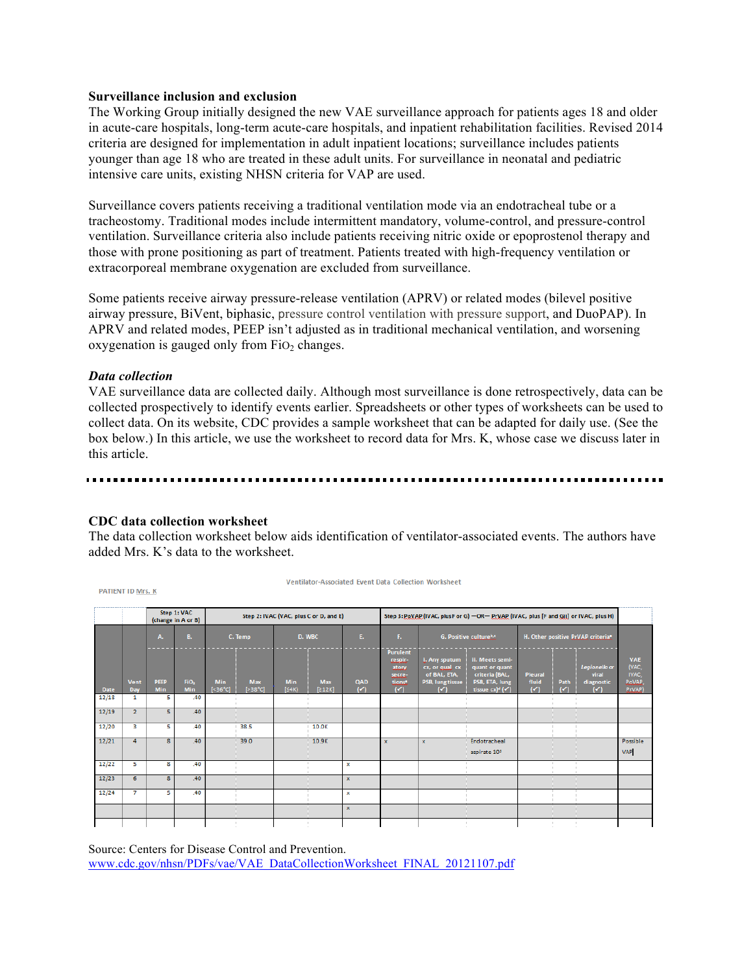### **Surveillance inclusion and exclusion**

The Working Group initially designed the new VAE surveillance approach for patients ages 18 and older in acute-care hospitals, long-term acute-care hospitals, and inpatient rehabilitation facilities. Revised 2014 criteria are designed for implementation in adult inpatient locations; surveillance includes patients younger than age 18 who are treated in these adult units. For surveillance in neonatal and pediatric intensive care units, existing NHSN criteria for VAP are used.

Surveillance covers patients receiving a traditional ventilation mode via an endotracheal tube or a tracheostomy. Traditional modes include intermittent mandatory, volume-control, and pressure-control ventilation. Surveillance criteria also include patients receiving nitric oxide or epoprostenol therapy and those with prone positioning as part of treatment. Patients treated with high-frequency ventilation or extracorporeal membrane oxygenation are excluded from surveillance.

Some patients receive airway pressure-release ventilation (APRV) or related modes (bilevel positive airway pressure, BiVent, biphasic, pressure control ventilation with pressure support, and DuoPAP). In APRV and related modes, PEEP isn't adjusted as in traditional mechanical ventilation, and worsening oxygenation is gauged only from  $FiO<sub>2</sub>$  changes.

### *Data collection*

PATIENT ID Mrs. K

VAE surveillance data are collected daily. Although most surveillance is done retrospectively, data can be collected prospectively to identify events earlier. Spreadsheets or other types of worksheets can be used to collect data. On its website, CDC provides a sample worksheet that can be adapted for daily use. (See the box below.) In this article, we use the worksheet to record data for Mrs. K, whose case we discuss later in this article.

# **CDC data collection worksheet**

The data collection worksheet below aids identification of ventilator-associated events. The authors have added Mrs. K's data to the worksheet.

|             |                |                    | Step 1: VAC<br>(change in A or B) | Step 2: IVAC (VAC, plus C or D, and E) |                         |                     |               |                       |                                                                                       | Step 3: PoVAP (IVAC, plus F or G) - OR- PrVAP (IVAC, plus [F and Gij] or IVAC, plus H) |                                                                                                                    |                                           |                        |                                                        |                                                              |  |
|-------------|----------------|--------------------|-----------------------------------|----------------------------------------|-------------------------|---------------------|---------------|-----------------------|---------------------------------------------------------------------------------------|----------------------------------------------------------------------------------------|--------------------------------------------------------------------------------------------------------------------|-------------------------------------------|------------------------|--------------------------------------------------------|--------------------------------------------------------------|--|
|             |                | А.                 | в.                                | C. Temp                                |                         | D. WBC              |               | E.                    | F.<br>G. Positive cultureb.c.                                                         |                                                                                        |                                                                                                                    |                                           |                        | H. Other positive PrVAP criteriat                      |                                                              |  |
| <b>Date</b> | Vent<br>Day    | <b>PEEP</b><br>Min | FiO <sub>2</sub><br><b>Min</b>    | Min<br>[ <sub>36</sub> °c]             | Max<br>$[>38^{\circ}C]$ | <b>Min</b><br>[54K] | Max<br>[212K] | QAD<br>$(\checkmark)$ | <b>Purulent</b><br>respir-<br>atory<br>secre-<br>tions <sup>®</sup><br>$(\checkmark)$ | i. Any sputum<br>cx, or qual cx<br>of BAL, ETA.<br>PSB, lung tissue<br>$(\checkmark)$  | ii. Meets semi-<br>quant or quant<br>criteria (BAL,<br>PSB, ETA, lung<br>tissue $cx$ <sup>d</sup> ( $\checkmark$ ) | <b>Pleural</b><br>fluid<br>$(\checkmark)$ | Path<br>$(\checkmark)$ | Legionella or<br>viral<br>diagnostic<br>$(\checkmark)$ | <b>VAE</b><br>(VAC,<br>IVAC,<br><b>PoVAP</b><br><b>PrVAP</b> |  |
| 12/18       | 1              | 5                  | .40                               |                                        |                         |                     |               |                       |                                                                                       |                                                                                        |                                                                                                                    |                                           |                        |                                                        |                                                              |  |
| 12/19       | $\overline{2}$ | 5.                 | .40                               |                                        |                         |                     |               |                       |                                                                                       |                                                                                        |                                                                                                                    |                                           |                        |                                                        |                                                              |  |
| 12/20       | 3              | 5.                 | .40                               |                                        | 38.5                    |                     | 10.0K         |                       |                                                                                       |                                                                                        |                                                                                                                    |                                           |                        |                                                        |                                                              |  |
| 12/21       | 4              | 8                  | .40                               |                                        | 39.0                    |                     | 10.9K         |                       | $\mathbf x$                                                                           | $\mathbf{x}$                                                                           | Endotracheal<br>aspirate 10 <sup>5</sup>                                                                           |                                           |                        |                                                        | Possible<br><b>VAP</b>                                       |  |
| 12/22       | 5              | 8                  | .40                               |                                        |                         |                     |               | $\mathbf x$           |                                                                                       |                                                                                        |                                                                                                                    |                                           |                        |                                                        |                                                              |  |
| 12/23       | 6              | 8                  | .40                               |                                        |                         |                     |               | $\mathbf{x}$          |                                                                                       |                                                                                        |                                                                                                                    |                                           |                        |                                                        |                                                              |  |
| 12/24       | 7              | 5.                 | .40                               |                                        |                         |                     |               | x                     |                                                                                       |                                                                                        |                                                                                                                    |                                           |                        |                                                        |                                                              |  |
|             |                |                    |                                   |                                        |                         |                     |               | $\mathbf{x}$          |                                                                                       |                                                                                        |                                                                                                                    |                                           |                        |                                                        |                                                              |  |
|             |                |                    |                                   |                                        |                         |                     |               |                       |                                                                                       |                                                                                        |                                                                                                                    |                                           |                        |                                                        |                                                              |  |

Ventilator-Associated Event Data Collection Worksheet

Source: Centers for Disease Control and Prevention. www.cdc.gov/nhsn/PDFs/vae/VAE\_DataCollectionWorksheet\_FINAL\_20121107.pdf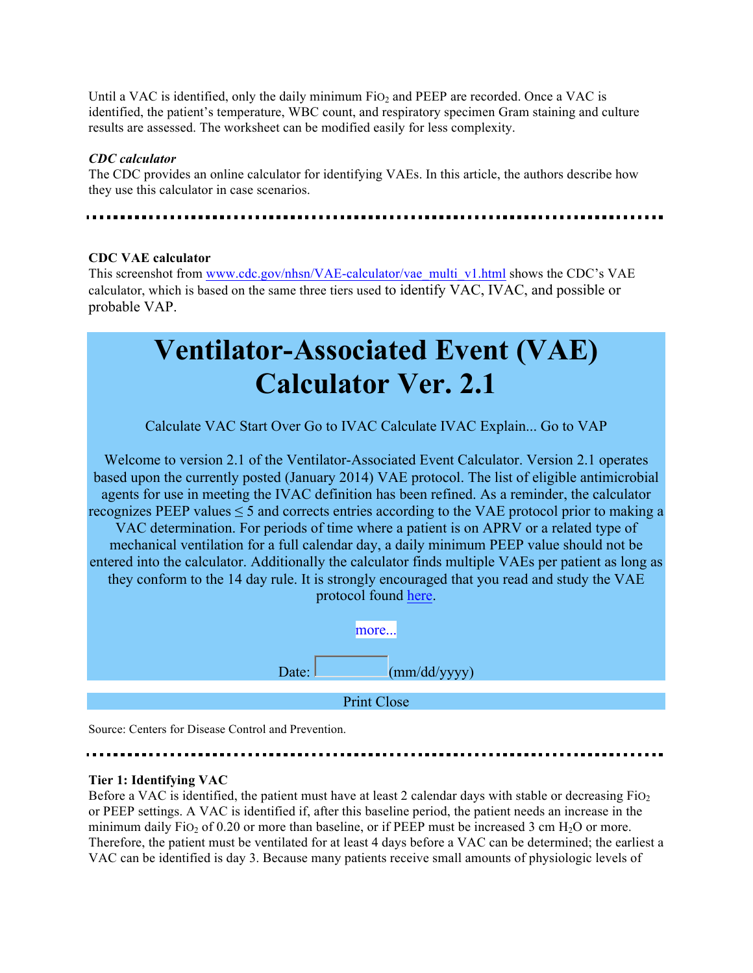Until a VAC is identified, only the daily minimum  $FiO<sub>2</sub>$  and PEEP are recorded. Once a VAC is identified, the patient's temperature, WBC count, and respiratory specimen Gram staining and culture results are assessed. The worksheet can be modified easily for less complexity.

### *CDC calculator*

The CDC provides an online calculator for identifying VAEs. In this article, the authors describe how they use this calculator in case scenarios.

### **CDC VAE calculator**

This screenshot from www.cdc.gov/nhsn/VAE-calculator/vae\_multi\_v1.html shows the CDC's VAE calculator, which is based on the same three tiers used to identify VAC, IVAC, and possible or probable VAP.

# **Ventilator-Associated Event (VAE) Calculator Ver. 2.1**

Calculate VAC Start Over Go to IVAC Calculate IVAC Explain... Go to VAP

Welcome to version 2.1 of the Ventilator-Associated Event Calculator. Version 2.1 operates based upon the currently posted (January 2014) VAE protocol. The list of eligible antimicrobial agents for use in meeting the IVAC definition has been refined. As a reminder, the calculator recognizes PEEP values  $\leq 5$  and corrects entries according to the VAE protocol prior to making a VAC determination. For periods of time where a patient is on APRV or a related type of mechanical ventilation for a full calendar day, a daily minimum PEEP value should not be entered into the calculator. Additionally the calculator finds multiple VAEs per patient as long as they conform to the 14 day rule. It is strongly encouraged that you read and study the VAE protocol found here.



Source: Centers for Disease Control and Prevention.

### **Tier 1: Identifying VAC**

Before a VAC is identified, the patient must have at least 2 calendar days with stable or decreasing  $FiO<sub>2</sub>$ or PEEP settings. A VAC is identified if, after this baseline period, the patient needs an increase in the minimum daily FiO<sub>2</sub> of 0.20 or more than baseline, or if PEEP must be increased 3 cm  $H_2O$  or more. Therefore, the patient must be ventilated for at least 4 days before a VAC can be determined; the earliest a VAC can be identified is day 3. Because many patients receive small amounts of physiologic levels of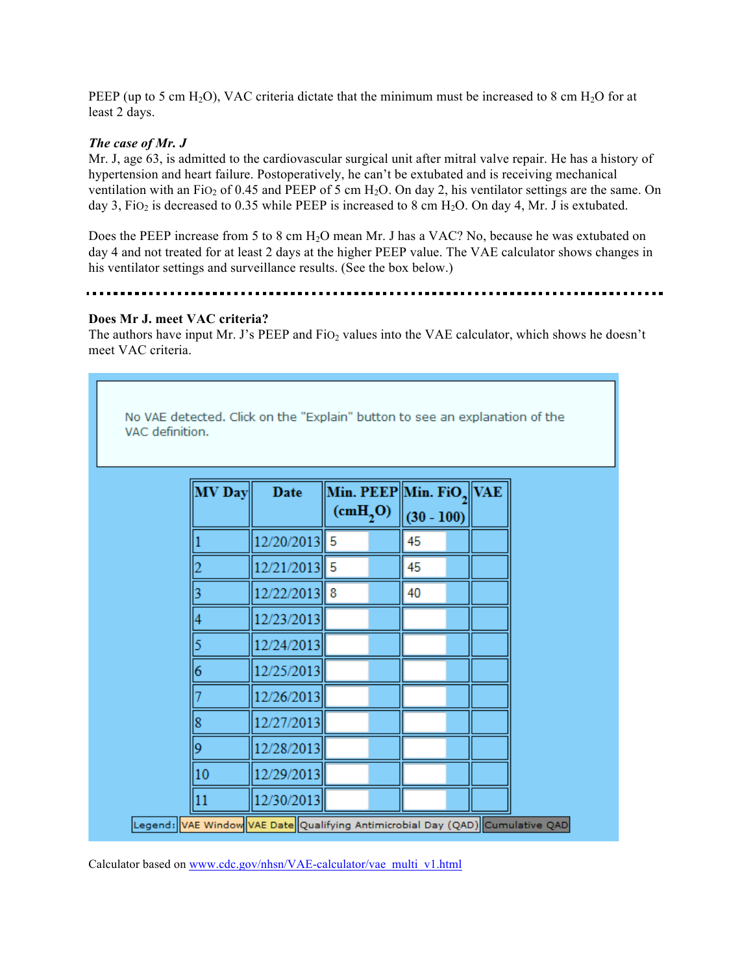PEEP (up to 5 cm H<sub>2</sub>O), VAC criteria dictate that the minimum must be increased to 8 cm H<sub>2</sub>O for at least 2 days.

### *The case of Mr. J*

Mr. J, age 63, is admitted to the cardiovascular surgical unit after mitral valve repair. He has a history of hypertension and heart failure. Postoperatively, he can't be extubated and is receiving mechanical ventilation with an FiO<sub>2</sub> of 0.45 and PEEP of 5 cm H<sub>2</sub>O. On day 2, his ventilator settings are the same. On day 3, FiO<sub>2</sub> is decreased to 0.35 while PEEP is increased to 8 cm H<sub>2</sub>O. On day 4, Mr. J is extubated.

Does the PEEP increase from 5 to 8 cm H<sub>2</sub>O mean Mr. J has a VAC? No, because he was extubated on day 4 and not treated for at least 2 days at the higher PEEP value. The VAE calculator shows changes in his ventilator settings and surveillance results. (See the box below.)

### **Does Mr J. meet VAC criteria?**

The authors have input Mr. J's PEEP and  $FiO<sub>2</sub>$  values into the VAE calculator, which shows he doesn't meet VAC criteria.

| VAC definition. | No VAE detected. Click on the "Explain" button to see an explanation of the |                        |              |  |  |
|-----------------|-----------------------------------------------------------------------------|------------------------|--------------|--|--|
|                 |                                                                             |                        |              |  |  |
| MV Day          | <b>Date</b>                                                                 | Min. PEEP Min. FiO VAE |              |  |  |
|                 |                                                                             | (cmH, O)               | $(30 - 100)$ |  |  |
|                 | 12/20/2013                                                                  | 15                     | 45           |  |  |
|                 | 12/21/2013                                                                  | 15                     | 45           |  |  |
| 3               | 12/22/2013                                                                  | 18                     | 40           |  |  |
| 4               | 12/23/2013                                                                  |                        |              |  |  |
| 5               | 12/24/2013                                                                  |                        |              |  |  |
| 6               | 12/25/2013                                                                  |                        |              |  |  |
|                 | 12/26/2013                                                                  |                        |              |  |  |
| 8               | 12/27/2013                                                                  |                        |              |  |  |
| 9               | 12/28/2013                                                                  |                        |              |  |  |
| 10              | 12/29/2013                                                                  |                        |              |  |  |
| 11              | 12/30/2013                                                                  |                        |              |  |  |

Calculator based on www.cdc.gov/nhsn/VAE-calculator/vae\_multi\_v1.html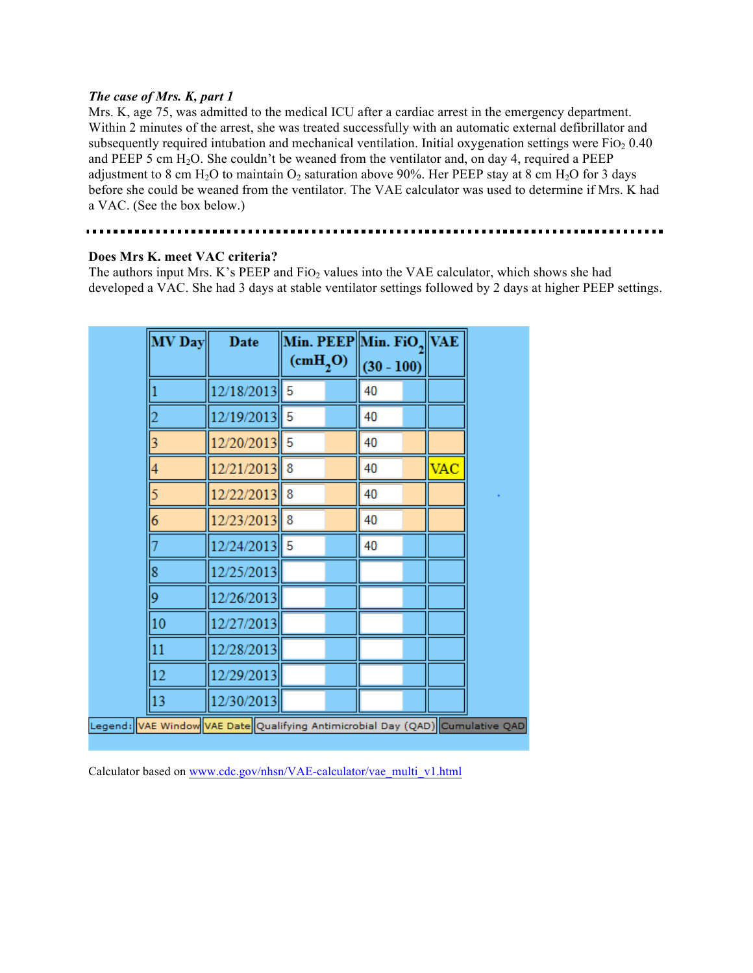### *The case of Mrs. K, part 1*

Mrs. K, age 75, was admitted to the medical ICU after a cardiac arrest in the emergency department. Within 2 minutes of the arrest, she was treated successfully with an automatic external defibrillator and subsequently required intubation and mechanical ventilation. Initial oxygenation settings were FiO<sub>2</sub> 0.40 and PEEP 5 cm  $H_2O$ . She couldn't be weaned from the ventilator and, on day 4, required a PEEP adjustment to 8 cm H<sub>2</sub>O to maintain  $O_2$  saturation above 90%. Her PEEP stay at 8 cm H<sub>2</sub>O for 3 days before she could be weaned from the ventilator. The VAE calculator was used to determine if Mrs. K had a VAC. (See the box below.)

### **Does Mrs K. meet VAC criteria?**

The authors input Mrs. K's PEEP and FiO<sub>2</sub> values into the VAE calculator, which shows she had developed a VAC. She had 3 days at stable ventilator settings followed by 2 days at higher PEEP settings.

ID.

| $MV$ Day       | <b>Date</b>  | (cmH <sub>2</sub> O) | Min. PEEP Min. FIO <sub>2</sub> VAE<br>$(30 - 100)$ |     |
|----------------|--------------|----------------------|-----------------------------------------------------|-----|
| 1              | 12/18/2013   | 15                   | 40                                                  |     |
| $\overline{c}$ | 12/19/2013   | 5                    | 40                                                  |     |
| 3              | 12/20/2013   | 15                   | 40                                                  |     |
| $\overline{4}$ | 12/21/2013 8 |                      | 40                                                  | VAC |
| 5              | 12/22/2013 8 |                      | 40                                                  |     |
| $\overline{6}$ | 12/23/2013   | 8                    | 40                                                  |     |
|                | 12/24/2013   | 15                   | 40                                                  |     |
| 8              | 12/25/2013   |                      |                                                     |     |
| 9              | 12/26/2013   |                      |                                                     |     |
| 10             | 12/27/2013   |                      |                                                     |     |
| 11             | 12/28/2013   |                      |                                                     |     |
| 12             | 12/29/2013   |                      |                                                     |     |
| 13             | 12/30/2013   |                      |                                                     |     |

Calculator based on www.cdc.gov/nhsn/VAE-calculator/vae\_multi\_v1.html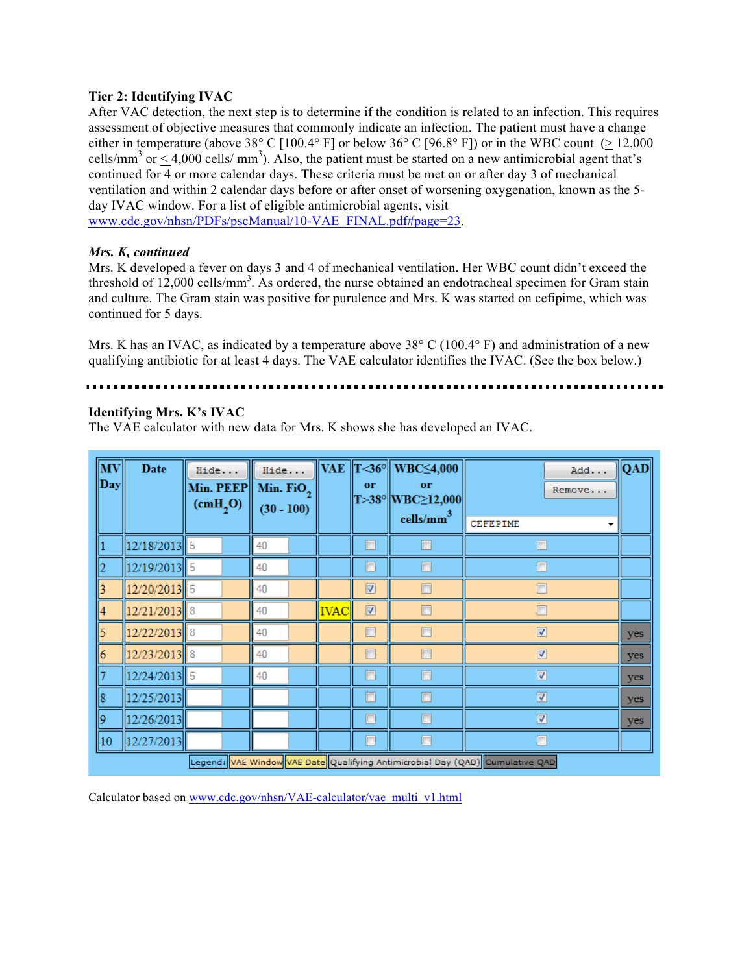### **Tier 2: Identifying IVAC**

After VAC detection, the next step is to determine if the condition is related to an infection. This requires assessment of objective measures that commonly indicate an infection. The patient must have a change either in temperature (above 38° C [100.4° F] or below 36° C [96.8° F]) or in the WBC count (> 12,000 cells/mm<sup>3</sup> or  $\leq$  4,000 cells/ mm<sup>3</sup>). Also, the patient must be started on a new antimicrobial agent that's continued for 4 or more calendar days. These criteria must be met on or after day 3 of mechanical ventilation and within 2 calendar days before or after onset of worsening oxygenation, known as the 5 day IVAC window. For a list of eligible antimicrobial agents, visit www.cdc.gov/nhsn/PDFs/pscManual/10-VAE\_FINAL.pdf#page=23.

### *Mrs. K, continued*

Mrs. K developed a fever on days 3 and 4 of mechanical ventilation. Her WBC count didn't exceed the threshold of  $12,000$  cells/mm<sup>3</sup>. As ordered, the nurse obtained an endotracheal specimen for Gram stain and culture. The Gram stain was positive for purulence and Mrs. K was started on cefipime, which was continued for 5 days.

Mrs. K has an IVAC, as indicated by a temperature above 38° C (100.4° F) and administration of a new qualifying antibiotic for at least 4 days. The VAE calculator identifies the IVAC. (See the box below.)

### **Identifying Mrs. K's IVAC**

The VAE calculator with new data for Mrs. K shows she has developed an IVAC.

| MV<br>$\ $ Day | <b>Date</b>        | Hide<br>Min. PEEP<br>(cmH <sub>2</sub> O) | Hide<br>Min. FiO <sub>2</sub><br>$(30 - 100)$ |             | or          | VAE  T<36°  WBC≤4,000<br>or<br>T>38°  WBC≥12,000<br>cells/mm <sup>3</sup> | Add<br>Remove                                                                 | $\parallel$ QAD |
|----------------|--------------------|-------------------------------------------|-----------------------------------------------|-------------|-------------|---------------------------------------------------------------------------|-------------------------------------------------------------------------------|-----------------|
|                |                    |                                           |                                               |             |             |                                                                           | <b>CEFEPIME</b>                                                               |                 |
|                | $12/18/2013$ 5     |                                           | 40                                            |             | E           | $\Box$                                                                    |                                                                               |                 |
|                | $12/19/2013$ 5     |                                           | 40                                            |             | Г           | E                                                                         |                                                                               |                 |
|                | 12/20/2013 5       |                                           | 40                                            |             | $\boxed{v}$ | $\Box$                                                                    |                                                                               |                 |
| 4              | 12/21/2013 8       |                                           | 40                                            | <b>IVAC</b> | $\nabla$    | $\Box$                                                                    | F                                                                             |                 |
| 5              | 12/22/2013 8       |                                           | 40                                            |             | $\Box$      | $\Box$                                                                    | $\boxed{v}$                                                                   | yes             |
| 6              | 12/23/2013 8       |                                           | 40                                            |             | ┍           | $\Box$                                                                    | $\overline{\mathbf{v}}$                                                       | yes             |
|                | $\ 12/24/2013\ $ 5 |                                           | 40                                            |             | П           | П                                                                         | $\boxed{\mathbf{v}}$                                                          | yes             |
| 8              | 12/25/2013         |                                           |                                               |             | ▣           | П                                                                         | $\boxed{3}$                                                                   | yes             |
| 19             | 12/26/2013         |                                           |                                               |             | Г           | П                                                                         | $\triangledown$                                                               | yes             |
| 10             | $\ 12/27/2013\ $   |                                           |                                               |             | E           | Г                                                                         |                                                                               |                 |
|                |                    |                                           |                                               |             |             |                                                                           | Legend: VAE Window VAE Date Qualifying Antimicrobial Day (QAD) Cumulative QAD |                 |

Calculator based on www.cdc.gov/nhsn/VAE-calculator/vae\_multi\_v1.html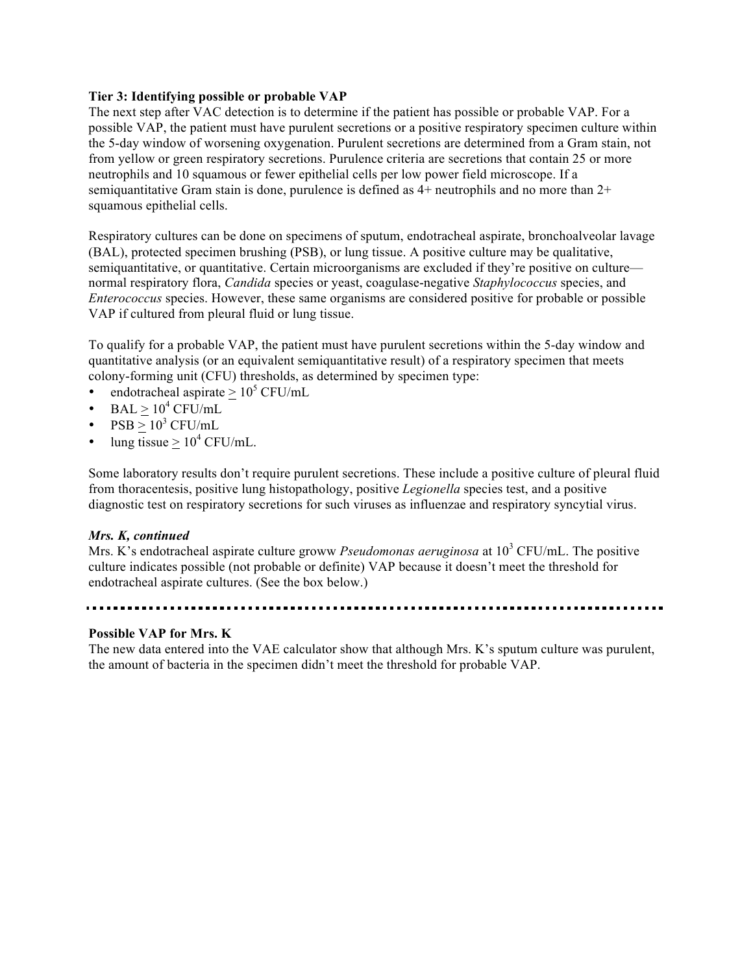### **Tier 3: Identifying possible or probable VAP**

The next step after VAC detection is to determine if the patient has possible or probable VAP. For a possible VAP, the patient must have purulent secretions or a positive respiratory specimen culture within the 5-day window of worsening oxygenation. Purulent secretions are determined from a Gram stain, not from yellow or green respiratory secretions. Purulence criteria are secretions that contain 25 or more neutrophils and 10 squamous or fewer epithelial cells per low power field microscope. If a semiquantitative Gram stain is done, purulence is defined as 4+ neutrophils and no more than 2+ squamous epithelial cells.

Respiratory cultures can be done on specimens of sputum, endotracheal aspirate, bronchoalveolar lavage (BAL), protected specimen brushing (PSB), or lung tissue. A positive culture may be qualitative, semiquantitative, or quantitative. Certain microorganisms are excluded if they're positive on culture normal respiratory flora, *Candida* species or yeast, coagulase-negative *Staphylococcus* species, and *Enterococcus* species. However, these same organisms are considered positive for probable or possible VAP if cultured from pleural fluid or lung tissue.

To qualify for a probable VAP, the patient must have purulent secretions within the 5-day window and quantitative analysis (or an equivalent semiquantitative result) of a respiratory specimen that meets colony-forming unit (CFU) thresholds, as determined by specimen type:

- endotracheal aspirate  $\geq 10^5$  CFU/mL<br>• BAL  $> 10^4$  CFU/mL
- $BAL > 10^4 CFU/mL$
- $PSB > 10^3$  CFU/mL
- lung tissue  $> 10^4$  CFU/mL.

Some laboratory results don't require purulent secretions. These include a positive culture of pleural fluid from thoracentesis, positive lung histopathology, positive *Legionella* species test, and a positive diagnostic test on respiratory secretions for such viruses as influenzae and respiratory syncytial virus.

### *Mrs. K, continued*

Mrs. K's endotracheal aspirate culture groww *Pseudomonas aeruginosa* at 10<sup>3</sup> CFU/mL. The positive culture indicates possible (not probable or definite) VAP because it doesn't meet the threshold for endotracheal aspirate cultures. (See the box below.)

### **Possible VAP for Mrs. K**

The new data entered into the VAE calculator show that although Mrs. K's sputum culture was purulent, the amount of bacteria in the specimen didn't meet the threshold for probable VAP.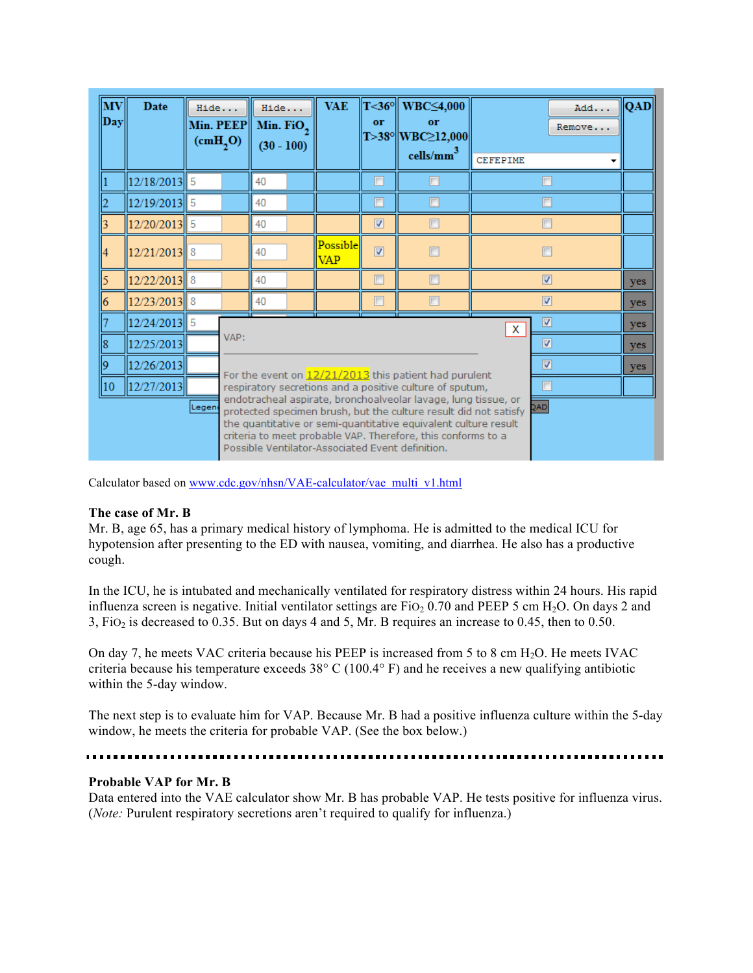| MV<br>Day                                                                                                                                                                                                                                                                                                                          | Date                                    | Hide<br>Min. PEEP<br>(cmH <sub>2</sub> O) |      | Hide<br>Min. FiO <sub>2</sub><br>$(30 - 100)$                                                                                    |  | <b>VAE</b>             | or                      | T<36°   WBC≤4,000<br>or<br>T>38°  WBC≥12,000 <br>$\text{cells/mm}^3$ | <b>CEFEPIME</b> | Add<br>Remove           | QAD        |  |  |
|------------------------------------------------------------------------------------------------------------------------------------------------------------------------------------------------------------------------------------------------------------------------------------------------------------------------------------|-----------------------------------------|-------------------------------------------|------|----------------------------------------------------------------------------------------------------------------------------------|--|------------------------|-------------------------|----------------------------------------------------------------------|-----------------|-------------------------|------------|--|--|
|                                                                                                                                                                                                                                                                                                                                    | $\ 12/18/2013\ $ 5                      |                                           |      | 40                                                                                                                               |  |                        | П                       | П                                                                    |                 | п                       |            |  |  |
|                                                                                                                                                                                                                                                                                                                                    | $\ 12/19/2013\ $ 5                      |                                           |      | 40                                                                                                                               |  |                        | П                       | E                                                                    |                 |                         |            |  |  |
|                                                                                                                                                                                                                                                                                                                                    | $\ 12/20/2013\ $ 5                      |                                           |      | 40                                                                                                                               |  |                        | $\overline{\mathbf{v}}$ | F                                                                    |                 |                         |            |  |  |
| 4                                                                                                                                                                                                                                                                                                                                  | $\left\  \frac{12}{21} \right\  2013$ 8 |                                           |      | 40                                                                                                                               |  | Possible<br><b>VAP</b> | $\overline{\mathbf{v}}$ | F                                                                    |                 |                         |            |  |  |
| 5                                                                                                                                                                                                                                                                                                                                  | $\left\  \frac{12}{2222013} \right\ $ 8 |                                           |      | 40                                                                                                                               |  |                        | $\Box$                  | $\Box$                                                               |                 | yes                     |            |  |  |
| 6                                                                                                                                                                                                                                                                                                                                  | $\left\  \frac{12}{23} \right\  2013$ 8 |                                           |      | 40                                                                                                                               |  |                        | Г                       | F                                                                    |                 | $\overline{\mathbf{v}}$ | yes        |  |  |
|                                                                                                                                                                                                                                                                                                                                    | $12/24/2013$ 5                          |                                           |      |                                                                                                                                  |  |                        |                         |                                                                      | X               | ☑                       | yes        |  |  |
| 8                                                                                                                                                                                                                                                                                                                                  | 12/25/2013                              |                                           | VAP: |                                                                                                                                  |  |                        |                         |                                                                      |                 | $\overline{\mathbf{v}}$ | yes        |  |  |
| 19                                                                                                                                                                                                                                                                                                                                 | 12/26/2013                              |                                           |      |                                                                                                                                  |  |                        |                         |                                                                      |                 | ☑                       | <b>ves</b> |  |  |
| 10                                                                                                                                                                                                                                                                                                                                 | $\ 12/27/2013\ $                        |                                           |      | For the event on $\frac{12}{21/2013}$ this patient had purulent<br>П<br>respiratory secretions and a positive culture of sputum, |  |                        |                         |                                                                      |                 |                         |            |  |  |
| endotracheal aspirate, bronchoalveolar lavage, lung tissue, or<br>Legen<br>protected specimen brush, but the culture result did not satisfy<br>the quantitative or semi-quantitative equivalent culture result<br>criteria to meet probable VAP. Therefore, this conforms to a<br>Possible Ventilator-Associated Event definition. |                                         |                                           |      |                                                                                                                                  |  |                        |                         |                                                                      |                 | <b>QAÇ</b>              |            |  |  |

Calculator based on www.cdc.gov/nhsn/VAE-calculator/vae\_multi\_v1.html

### **The case of Mr. B**

Mr. B, age 65, has a primary medical history of lymphoma. He is admitted to the medical ICU for hypotension after presenting to the ED with nausea, vomiting, and diarrhea. He also has a productive cough.

In the ICU, he is intubated and mechanically ventilated for respiratory distress within 24 hours. His rapid influenza screen is negative. Initial ventilator settings are  $FiO<sub>2</sub> 0.70$  and PEEP 5 cm H<sub>2</sub>O. On days 2 and 3, FiO2 is decreased to 0.35. But on days 4 and 5, Mr. B requires an increase to 0.45, then to 0.50.

On day 7, he meets VAC criteria because his PEEP is increased from 5 to 8 cm H<sub>2</sub>O. He meets IVAC criteria because his temperature exceeds 38° C (100.4° F) and he receives a new qualifying antibiotic within the 5-day window.

The next step is to evaluate him for VAP. Because Mr. B had a positive influenza culture within the 5-day window, he meets the criteria for probable VAP. (See the box below.)

### **Probable VAP for Mr. B**

Data entered into the VAE calculator show Mr. B has probable VAP. He tests positive for influenza virus. (*Note:* Purulent respiratory secretions aren't required to qualify for influenza.)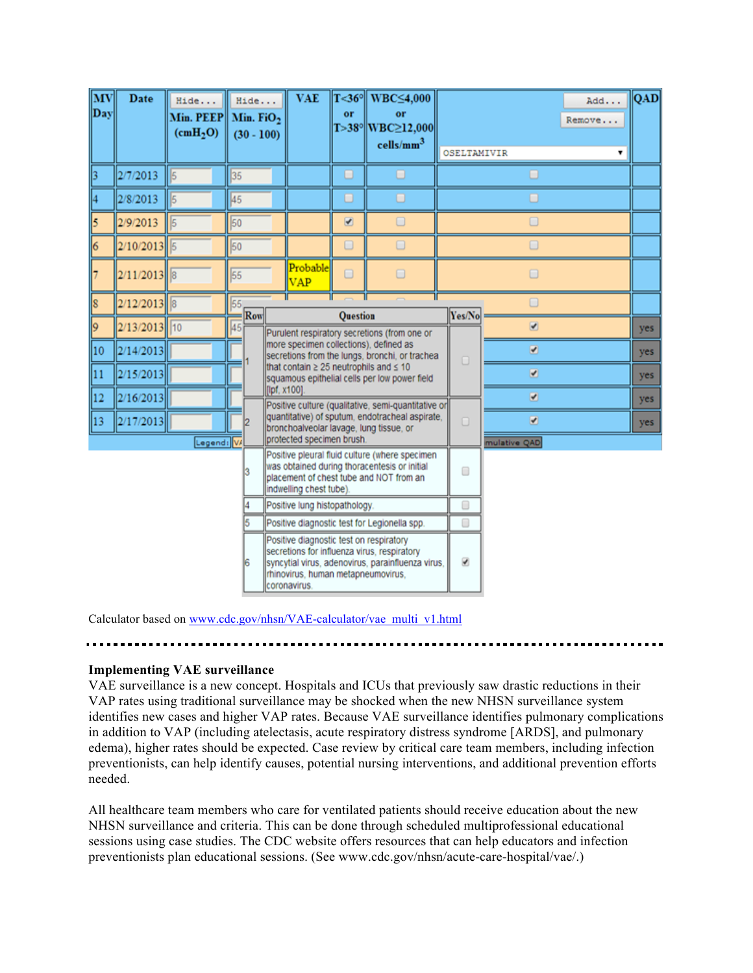| MV<br>$\ $ Day | Date            | Hide<br>Min. PEEP<br>(cmH <sub>2</sub> O) | Hide<br>Min. FiO <sub>2</sub><br>$(30 - 100)$ | <b>VAE</b>                                                                                                                                                               | $T<36^\circ$<br>or                           | WBC≤4,000<br>or<br>T>38° WBC≥12,000<br>cells/mm <sup>3</sup>                                     |                      |                        | Add<br>Remove | QAD |
|----------------|-----------------|-------------------------------------------|-----------------------------------------------|--------------------------------------------------------------------------------------------------------------------------------------------------------------------------|----------------------------------------------|--------------------------------------------------------------------------------------------------|----------------------|------------------------|---------------|-----|
|                |                 |                                           |                                               |                                                                                                                                                                          |                                              |                                                                                                  | OSELTAMIVIR          |                        |               |     |
| lз             | 2/7/2013        | $\sqrt{5}$                                | 35                                            |                                                                                                                                                                          | 0                                            | ο                                                                                                |                      |                        |               |     |
| 4              | 2/8/2013        | 5                                         | 45                                            |                                                                                                                                                                          | о                                            | о                                                                                                |                      | □                      |               |     |
| 5              | 2/9/2013        | $\sqrt{5}$                                | 50                                            |                                                                                                                                                                          | $\overline{\mathbf{z}}$                      | $\Box$                                                                                           |                      | $\Box$                 |               |     |
| 6              | 2/10/2013 5     |                                           | 50                                            |                                                                                                                                                                          | $\Box$                                       | $\Box$                                                                                           |                      | $\Box$                 |               |     |
| 17             | $2/11/2013$   8 |                                           | 55                                            | Probable<br>VAP                                                                                                                                                          | $\Box$                                       | $\Box$                                                                                           |                      |                        |               |     |
| 18             | $2/12/2013$   8 |                                           |                                               |                                                                                                                                                                          |                                              |                                                                                                  |                      | $\Box$                 |               |     |
| l9             | 2/13/2013 10    |                                           | Row<br>45                                     |                                                                                                                                                                          | <b>Question</b>                              | Purulent respiratory secretions (from one or                                                     | Yes/No               | $\boxed{\blacksquare}$ |               | yes |
| $ 10\rangle$   | 2/14/2013       |                                           |                                               |                                                                                                                                                                          |                                              | more specimen collections), defined as<br>secretions from the lungs, bronchi, or trachea         | o                    | ø                      |               | yes |
| 11             | 2/15/2013       |                                           |                                               |                                                                                                                                                                          |                                              | that contain ≥ 25 neutrophils and ≤ 10<br>squamous epithelial cells per low power field          |                      | ☑                      |               | yes |
| $\parallel$ 12 | 2/16/2013       |                                           |                                               | [lpf. x100]                                                                                                                                                              |                                              | Positive culture (qualitative, semi-quantitative or                                              |                      | ø                      |               | yes |
| $ 13\rangle$   | 2/17/2013       |                                           |                                               |                                                                                                                                                                          |                                              | quantitative) of sputum, endotracheal aspirate,<br>bronchoalveolar lavage, lung tissue, or       | $\Box$               | ☑                      |               |     |
|                |                 | Legend: V/                                |                                               | protected specimen brush.                                                                                                                                                |                                              |                                                                                                  |                      | mulative QAD           |               |     |
|                |                 |                                           | 3                                             | Positive pleural fluid culture (where specimen<br>was obtained during thoracentesis or initial<br>0<br>placement of chest tube and NOT from an<br>indwelling chest tube) |                                              |                                                                                                  |                      |                        |               |     |
|                |                 |                                           |                                               | Positive lung histopathology.                                                                                                                                            |                                              |                                                                                                  | 0                    |                        |               |     |
|                |                 |                                           |                                               |                                                                                                                                                                          | Positive diagnostic test for Legionella spp. | 0                                                                                                |                      |                        |               |     |
|                |                 |                                           | 6                                             | Positive diagnostic test on respiratory<br>rhinovirus, human metapneumovirus,<br>coronavirus.                                                                            |                                              | secretions for influenza virus, respiratory<br>syncytial virus, adenovirus, parainfluenza virus, | $\blacktriangledown$ |                        |               |     |

Calculator based on www.cdc.gov/nhsn/VAE-calculator/vae\_multi\_v1.html

### **Implementing VAE surveillance**

VAE surveillance is a new concept. Hospitals and ICUs that previously saw drastic reductions in their VAP rates using traditional surveillance may be shocked when the new NHSN surveillance system identifies new cases and higher VAP rates. Because VAE surveillance identifies pulmonary complications in addition to VAP (including atelectasis, acute respiratory distress syndrome [ARDS], and pulmonary edema), higher rates should be expected. Case review by critical care team members, including infection preventionists, can help identify causes, potential nursing interventions, and additional prevention efforts needed.

All healthcare team members who care for ventilated patients should receive education about the new NHSN surveillance and criteria. This can be done through scheduled multiprofessional educational sessions using case studies. The CDC website offers resources that can help educators and infection preventionists plan educational sessions. (See www.cdc.gov/nhsn/acute-care-hospital/vae/.)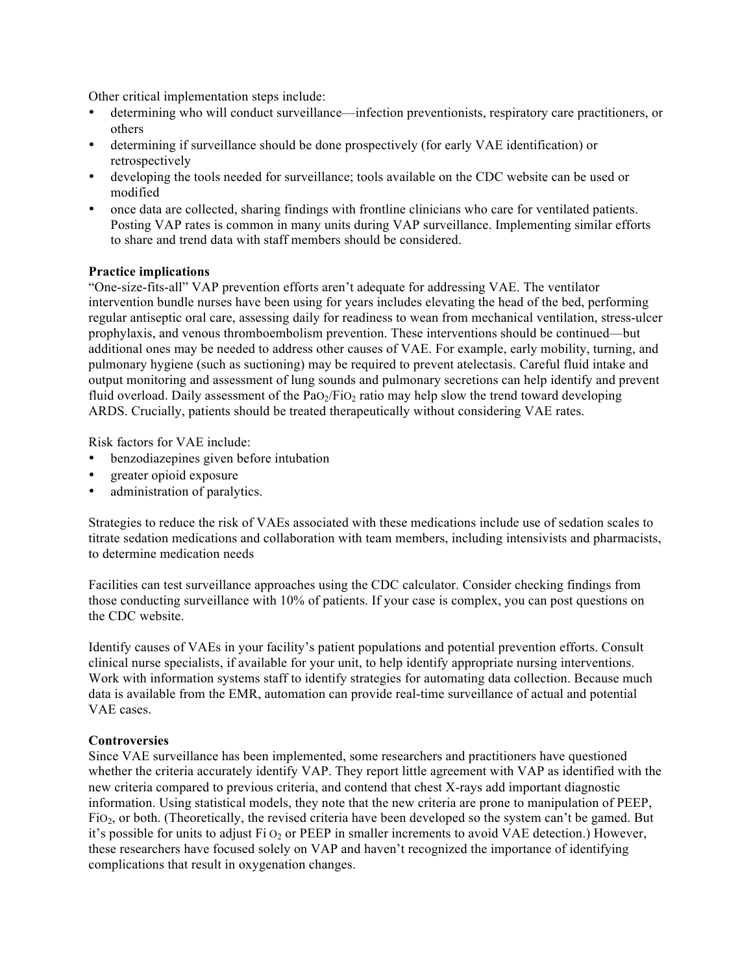Other critical implementation steps include:

- determining who will conduct surveillance—infection preventionists, respiratory care practitioners, or others
- determining if surveillance should be done prospectively (for early VAE identification) or retrospectively
- developing the tools needed for surveillance; tools available on the CDC website can be used or modified
- once data are collected, sharing findings with frontline clinicians who care for ventilated patients. Posting VAP rates is common in many units during VAP surveillance. Implementing similar efforts to share and trend data with staff members should be considered.

### **Practice implications**

"One-size-fits-all" VAP prevention efforts aren't adequate for addressing VAE. The ventilator intervention bundle nurses have been using for years includes elevating the head of the bed, performing regular antiseptic oral care, assessing daily for readiness to wean from mechanical ventilation, stress-ulcer prophylaxis, and venous thromboembolism prevention. These interventions should be continued—but additional ones may be needed to address other causes of VAE. For example, early mobility, turning, and pulmonary hygiene (such as suctioning) may be required to prevent atelectasis. Careful fluid intake and output monitoring and assessment of lung sounds and pulmonary secretions can help identify and prevent fluid overload. Daily assessment of the PaO<sub>2</sub>/FiO<sub>2</sub> ratio may help slow the trend toward developing ARDS. Crucially, patients should be treated therapeutically without considering VAE rates.

Risk factors for VAE include:

- benzodiazepines given before intubation
- greater opioid exposure
- administration of paralytics.

Strategies to reduce the risk of VAEs associated with these medications include use of sedation scales to titrate sedation medications and collaboration with team members, including intensivists and pharmacists, to determine medication needs

Facilities can test surveillance approaches using the CDC calculator. Consider checking findings from those conducting surveillance with 10% of patients. If your case is complex, you can post questions on the CDC website.

Identify causes of VAEs in your facility's patient populations and potential prevention efforts. Consult clinical nurse specialists, if available for your unit, to help identify appropriate nursing interventions. Work with information systems staff to identify strategies for automating data collection. Because much data is available from the EMR, automation can provide real-time surveillance of actual and potential VAE cases.

### **Controversies**

Since VAE surveillance has been implemented, some researchers and practitioners have questioned whether the criteria accurately identify VAP. They report little agreement with VAP as identified with the new criteria compared to previous criteria, and contend that chest X-rays add important diagnostic information. Using statistical models, they note that the new criteria are prone to manipulation of PEEP, FiO<sub>2</sub>, or both. (Theoretically, the revised criteria have been developed so the system can't be gamed. But it's possible for units to adjust  $FiO<sub>2</sub>$  or PEEP in smaller increments to avoid VAE detection.) However, these researchers have focused solely on VAP and haven't recognized the importance of identifying complications that result in oxygenation changes.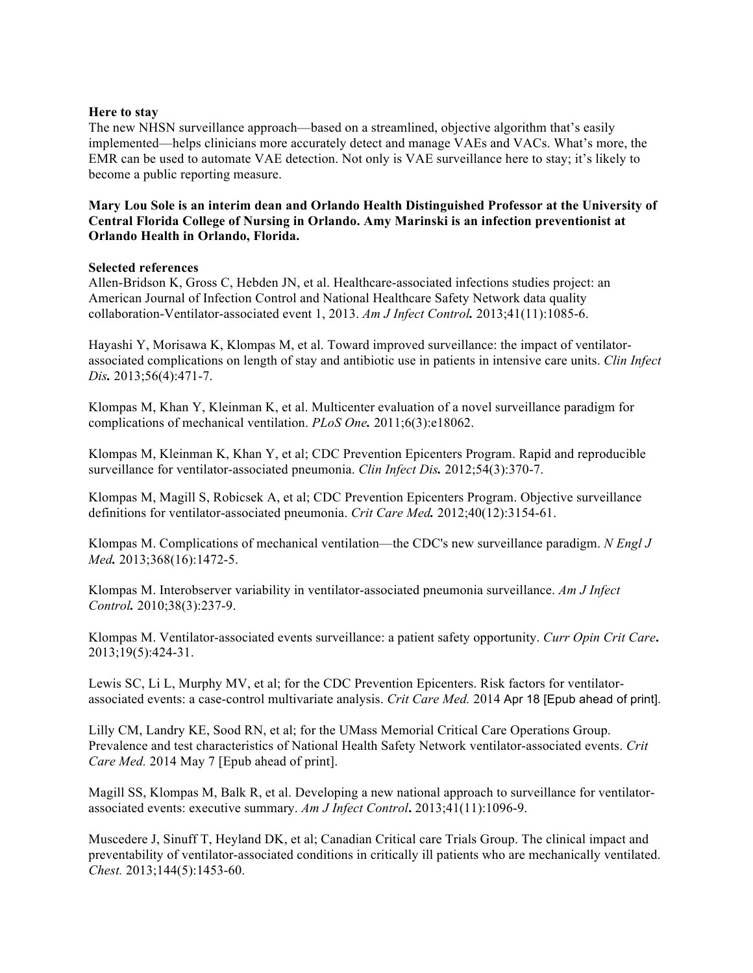### **Here to stay**

The new NHSN surveillance approach—based on a streamlined, objective algorithm that's easily implemented—helps clinicians more accurately detect and manage VAEs and VACs. What's more, the EMR can be used to automate VAE detection. Not only is VAE surveillance here to stay; it's likely to become a public reporting measure.

**Mary Lou Sole is an interim dean and Orlando Health Distinguished Professor at the University of Central Florida College of Nursing in Orlando. Amy Marinski is an infection preventionist at Orlando Health in Orlando, Florida.**

### **Selected references**

Allen-Bridson K, Gross C, Hebden JN, et al. Healthcare-associated infections studies project: an American Journal of Infection Control and National Healthcare Safety Network data quality collaboration-Ventilator-associated event 1, 2013. *Am J Infect Control.* 2013;41(11):1085-6.

Hayashi Y, Morisawa K, Klompas M, et al. Toward improved surveillance: the impact of ventilatorassociated complications on length of stay and antibiotic use in patients in intensive care units. *Clin Infect Dis.* 2013;56(4):471-7.

Klompas M, Khan Y, Kleinman K, et al. Multicenter evaluation of a novel surveillance paradigm for complications of mechanical ventilation. *PLoS One.* 2011;6(3):e18062.

Klompas M, Kleinman K, Khan Y, et al; CDC Prevention Epicenters Program. Rapid and reproducible surveillance for ventilator-associated pneumonia. *Clin Infect Dis.* 2012;54(3):370-7.

Klompas M, Magill S, Robicsek A, et al; CDC Prevention Epicenters Program. Objective surveillance definitions for ventilator-associated pneumonia. *Crit Care Med.* 2012;40(12):3154-61.

Klompas M. Complications of mechanical ventilation—the CDC's new surveillance paradigm. *N Engl J Med.* 2013;368(16):1472-5.

Klompas M. Interobserver variability in ventilator-associated pneumonia surveillance. *Am J Infect Control.* 2010;38(3):237-9.

Klompas M. Ventilator-associated events surveillance: a patient safety opportunity. *Curr Opin Crit Care***.** 2013;19(5):424-31.

Lewis SC, Li L, Murphy MV, et al; for the CDC Prevention Epicenters. Risk factors for ventilatorassociated events: a case-control multivariate analysis. *Crit Care Med.* 2014 Apr 18 [Epub ahead of print].

Lilly CM, Landry KE, Sood RN, et al; for the UMass Memorial Critical Care Operations Group. Prevalence and test characteristics of National Health Safety Network ventilator-associated events. *Crit Care Med.* 2014 May 7 [Epub ahead of print].

Magill SS, Klompas M, Balk R, et al. Developing a new national approach to surveillance for ventilatorassociated events: executive summary. *Am J Infect Control***.** 2013;41(11):1096-9.

Muscedere J, Sinuff T, Heyland DK, et al; Canadian Critical care Trials Group. The clinical impact and preventability of ventilator-associated conditions in critically ill patients who are mechanically ventilated. *Chest.* 2013;144(5):1453-60.